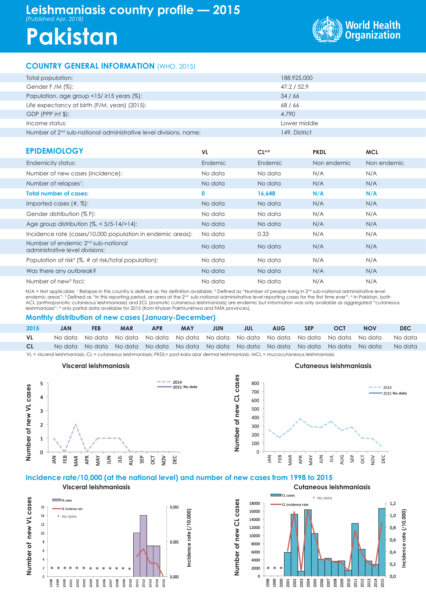# **Leishmaniasis country profile — 2015** *(Published Apr. 2018)*

# **Pakistan**



# **COUNTRY GENERAL INFORMATION** (WHO, 2015)

| Total population:                                                            | 188,925,000   |
|------------------------------------------------------------------------------|---------------|
| Gender F /M $(\%)$ :                                                         | 47.2 / 52.9   |
| Population, age group $\langle 15/215 \rangle$ years (%):                    | 34/66         |
| Life expectancy at birth (F/M, years) (2015):                                | 68/66         |
| $GDP$ (PPP int $$$ ):                                                        | 4,790         |
| Income status:                                                               | Lower middle  |
| Number of 2 <sup>nd</sup> sub-national administrative level divisions, name: | 149, District |

| <b>EPIDEMIOLOGY</b>                                                               | <b>VL</b> | CL <sub>a,b</sub> | <b>PKDL</b> | <b>MCL</b>  |
|-----------------------------------------------------------------------------------|-----------|-------------------|-------------|-------------|
| Endemicity status:                                                                | Endemic   | Endemic           | Non endemic | Non endemic |
| Number of new cases (incidence):                                                  | No data   | No data           | N/A         | N/A         |
| Number of relapses <sup>1</sup> :                                                 | No data   | No data           | N/A         | N/A         |
| <b>Total number of cases:</b>                                                     | 0         | 16,648            | N/A         | N/A         |
| Imported cases $(\#, \%)$ :                                                       | No data   | No data           | N/A         | N/A         |
| Gender distribution (% F):                                                        | No data   | No data           | N/A         | N/A         |
| Age group distribution $(\%,-5/5-14/>14)$ :                                       | No data   | No data           | N/A         | N/A         |
| Incidence rate (cases/10,000 population in endemic areas):                        | No data   | 0.33              | N/A         | N/A         |
| Number of endemic 2 <sup>nd</sup> sub-national<br>administrative level divisions: | No data   | No data           | N/A         | N/A         |
| Population at risk <sup>2</sup> ( $\%$ , # at risk/total population):             | No data   | No data           | N/A         | N/A         |
| Was there any outbreak?                                                           | No data   | No data           | N/A         | N/A         |
| Number of new <sup>3</sup> foci:                                                  | No data   | No data           | N/A         | N/A         |

N/A = Not applicable; <sup>1</sup> Relapse in this country is defined as: No definition available; <sup>2</sup> Defined as "Number of people living in 2<sup>nd</sup> sub-national administrative level endemic areas"; 3 Defined as "In this reporting period, an area at the 2nd sub-national administrative level reporting cases for the first time ever"; a In Pakistan, both ACL (anthroponotic cutaneous leishmaniasis) and ZCL (zoonotic cutaneous leishmaniasis) are endemic but information was only available as aggregated "cutaneous leishmaniasis"; <sup>b</sup> only partial data available for 2015 (from Khyber Pakhtunkhwa and FATA provinces).

#### **Monthly distribution of new cases (January-December)**

| 2015                                                                                                                                    | <b>JAN</b> | <b>FEB</b> | <b>MAR</b> | <b>APR</b>                                                                      | <b>MAY</b> | JUN | JUL | <b>AUG</b> | <b>SEP</b> | OCT | <b>NOV</b> | <b>DEC</b> |
|-----------------------------------------------------------------------------------------------------------------------------------------|------------|------------|------------|---------------------------------------------------------------------------------|------------|-----|-----|------------|------------|-----|------------|------------|
| VL                                                                                                                                      | No data    |            |            | No data No data No data No data No data No data No data No data No data No data |            |     |     |            |            |     |            | No data    |
| CL.                                                                                                                                     |            |            |            | No data No data No data No data No data No data No data No data No data No data |            |     |     |            |            |     | No data    | No data    |
| VL = visceral leishmaniasis; CL = cutaneous leishmaniasis; PKDL= post-kala-azar dermal leishmaniasis; MCL = mucocutaneous leishmaniasis |            |            |            |                                                                                 |            |     |     |            |            |     |            |            |

**Number of new CL cases**

Number of new CL cases

#### **Visceral leishmaniasis Cutaneous leishmaniasis**



**Visceral leishmaniasis**



## **Incidence rate/10,000 (at the national level) and number of new cases from 1998 to 2015**

Number of new VL cases **Number of new VL cases IVI** case  $16$  $0.002$ VL Incidence rate Incidence rate  $(710,000)$ **Incidence rate (/10,000)**  $14$ \* No data \* No data $12$ 10  $0,001$  $\overline{\mathbf{8}}$  $6\overline{6}$  $\overline{a}$  $\overline{2}$ \* \* \* \* \* \* \* \* \* \* \* \* \*  $\overline{0}$  $0.000$ 2011<br>2013<br>2014<br>2015 005<br>2006<br>2008<br>2009<br>2010